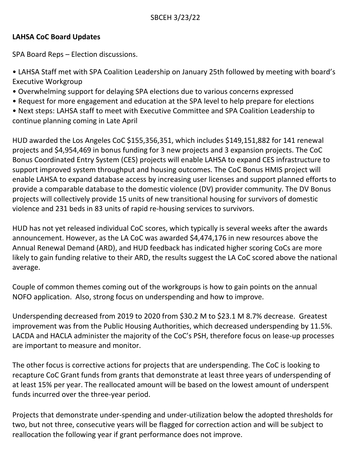# **LAHSA CoC Board Updates**

SPA Board Reps – Election discussions.

• LAHSA Staff met with SPA Coalition Leadership on January 25th followed by meeting with board's Executive Workgroup

- Overwhelming support for delaying SPA elections due to various concerns expressed
- Request for more engagement and education at the SPA level to help prepare for elections
- Next steps: LAHSA staff to meet with Executive Committee and SPA Coalition Leadership to continue planning coming in Late April

HUD awarded the Los Angeles CoC \$155,356,351, which includes \$149,151,882 for 141 renewal projects and \$4,954,469 in bonus funding for 3 new projects and 3 expansion projects. The CoC Bonus Coordinated Entry System (CES) projects will enable LAHSA to expand CES infrastructure to support improved system throughput and housing outcomes. The CoC Bonus HMIS project will enable LAHSA to expand database access by increasing user licenses and support planned efforts to provide a comparable database to the domestic violence (DV) provider community. The DV Bonus projects will collectively provide 15 units of new transitional housing for survivors of domestic violence and 231 beds in 83 units of rapid re-housing services to survivors.

HUD has not yet released individual CoC scores, which typically is several weeks after the awards announcement. However, as the LA CoC was awarded \$4,474,176 in new resources above the Annual Renewal Demand (ARD), and HUD feedback has indicated higher scoring CoCs are more likely to gain funding relative to their ARD, the results suggest the LA CoC scored above the national average.

Couple of common themes coming out of the workgroups is how to gain points on the annual NOFO application. Also, strong focus on underspending and how to improve.

Underspending decreased from 2019 to 2020 from \$30.2 M to \$23.1 M 8.7% decrease. Greatest improvement was from the Public Housing Authorities, which decreased underspending by 11.5%. LACDA and HACLA administer the majority of the CoC's PSH, therefore focus on lease-up processes are important to measure and monitor.

The other focus is corrective actions for projects that are underspending. The CoC is looking to recapture CoC Grant funds from grants that demonstrate at least three years of underspending of at least 15% per year. The reallocated amount will be based on the lowest amount of underspent funds incurred over the three-year period.

Projects that demonstrate under-spending and under-utilization below the adopted thresholds for two, but not three, consecutive years will be flagged for correction action and will be subject to reallocation the following year if grant performance does not improve.